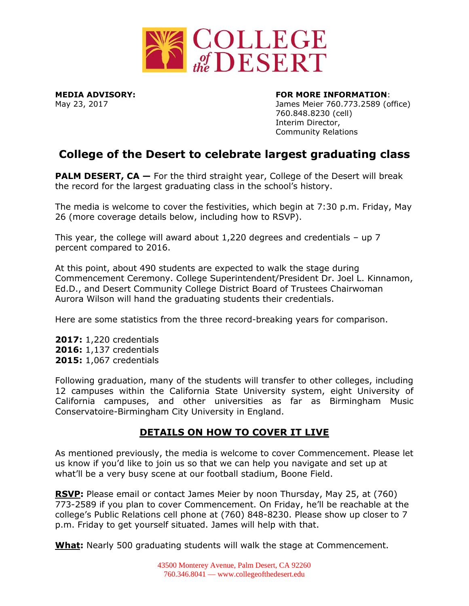

## **MEDIA ADVISORY: FOR MORE INFORMATION**:

May 23, 2017 James Meier 760.773.2589 (office) 760.848.8230 (cell) Interim Director, Community Relations

## **College of the Desert to celebrate largest graduating class**

**PALM DESERT, CA** – For the third straight year, College of the Desert will break the record for the largest graduating class in the school's history.

The media is welcome to cover the festivities, which begin at 7:30 p.m. Friday, May 26 (more coverage details below, including how to RSVP).

This year, the college will award about  $1,220$  degrees and credentials – up 7 percent compared to 2016.

At this point, about 490 students are expected to walk the stage during Commencement Ceremony. College Superintendent/President Dr. Joel L. Kinnamon, Ed.D., and Desert Community College District Board of Trustees Chairwoman Aurora Wilson will hand the graduating students their credentials.

Here are some statistics from the three record-breaking years for comparison.

**2017:** 1,220 credentials **2016:** 1,137 credentials **2015:** 1,067 credentials

Following graduation, many of the students will transfer to other colleges, including 12 campuses within the California State University system, eight University of California campuses, and other universities as far as Birmingham Music Conservatoire-Birmingham City University in England.

## **DETAILS ON HOW TO COVER IT LIVE**

As mentioned previously, the media is welcome to cover Commencement. Please let us know if you'd like to join us so that we can help you navigate and set up at what'll be a very busy scene at our football stadium, Boone Field.

**RSVP:** Please email or contact James Meier by noon Thursday, May 25, at (760) 773-2589 if you plan to cover Commencement. On Friday, he'll be reachable at the college's Public Relations cell phone at (760) 848-8230. Please show up closer to 7 p.m. Friday to get yourself situated. James will help with that.

**What:** Nearly 500 graduating students will walk the stage at Commencement.